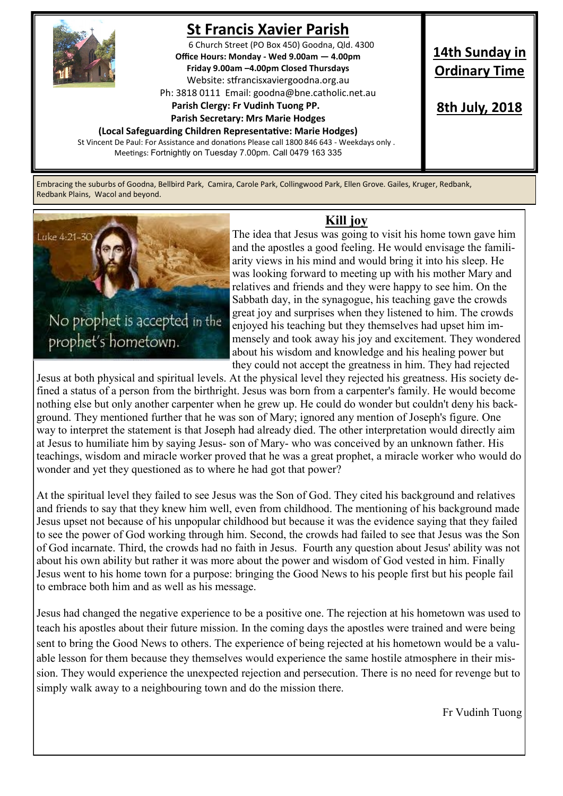

# **St Francis Xavier Parish**

6 Church Street (PO Box 450) Goodna, Qld. 4300 **Office Hours: Monday - Wed 9.00am — 4.00pm Friday 9.00am –4.00pm Closed Thursdays**  Website: stfrancisxaviergoodna.org.au

Ph: 3818 0111 Email: goodna@bne.catholic.net.au

#### **Parish Clergy: Fr Vudinh Tuong PP.**

 **Parish Secretary: Mrs Marie Hodges**

**(Local Safeguarding Children Representative: Marie Hodges)** St Vincent De Paul: For Assistance and donations Please call 1800 846 643 - Weekdays only . Meetings: Fortnightly on Tuesday 7.00pm. Call 0479 163 335

## **14th Sunday in Ordinary Time**

**8th July, 2018**

Embracing the suburbs of Goodna, Bellbird Park, Camira, Carole Park, Collingwood Park, Ellen Grove. Gailes, Kruger, Redbank, Redbank Plains, Wacol and beyond.



### **Kill joy**

The idea that Jesus was going to visit his home town gave him and the apostles a good feeling. He would envisage the familiarity views in his mind and would bring it into his sleep. He was looking forward to meeting up with his mother Mary and relatives and friends and they were happy to see him. On the Sabbath day, in the synagogue, his teaching gave the crowds great joy and surprises when they listened to him. The crowds enjoyed his teaching but they themselves had upset him immensely and took away his joy and excitement. They wondered about his wisdom and knowledge and his healing power but they could not accept the greatness in him. They had rejected

Jesus at both physical and spiritual levels. At the physical level they rejected his greatness. His society defined a status of a person from the birthright. Jesus was born from a carpenter's family. He would become nothing else but only another carpenter when he grew up. He could do wonder but couldn't deny his background. They mentioned further that he was son of Mary; ignored any mention of Joseph's figure. One way to interpret the statement is that Joseph had already died. The other interpretation would directly aim at Jesus to humiliate him by saying Jesus- son of Mary- who was conceived by an unknown father. His teachings, wisdom and miracle worker proved that he was a great prophet, a miracle worker who would do wonder and yet they questioned as to where he had got that power?

At the spiritual level they failed to see Jesus was the Son of God. They cited his background and relatives and friends to say that they knew him well, even from childhood. The mentioning of his background made Jesus upset not because of his unpopular childhood but because it was the evidence saying that they failed to see the power of God working through him. Second, the crowds had failed to see that Jesus was the Son of God incarnate. Third, the crowds had no faith in Jesus. Fourth any question about Jesus' ability was not about his own ability but rather it was more about the power and wisdom of God vested in him. Finally Jesus went to his home town for a purpose: bringing the Good News to his people first but his people fail to embrace both him and as well as his message.

Jesus had changed the negative experience to be a positive one. The rejection at his hometown was used to teach his apostles about their future mission. In the coming days the apostles were trained and were being sent to bring the Good News to others. The experience of being rejected at his hometown would be a valuable lesson for them because they themselves would experience the same hostile atmosphere in their mission. They would experience the unexpected rejection and persecution. There is no need for revenge but to simply walk away to a neighbouring town and do the mission there.

Fr Vudinh Tuong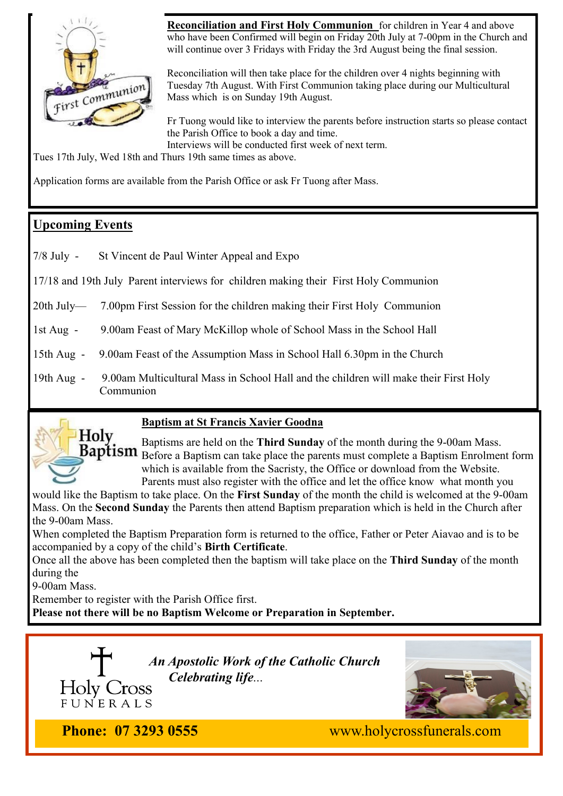

**Reconciliation and First Holy Communion** for children in Year 4 and above who have been Confirmed will begin on Friday 20th July at 7-00pm in the Church and will continue over 3 Fridays with Friday the 3rd August being the final session.

Reconciliation will then take place for the children over 4 nights beginning with Tuesday 7th August. With First Communion taking place during our Multicultural Mass which is on Sunday 19th August.

Fr Tuong would like to interview the parents before instruction starts so please contact the Parish Office to book a day and time. Interviews will be conducted first week of next term.

Tues 17th July, Wed 18th and Thurs 19th same times as above.

Application forms are available from the Parish Office or ask Fr Tuong after Mass.

### **Upcoming Events**

7/8 July - St Vincent de Paul Winter Appeal and Expo

17/18 and 19th July Parent interviews for children making their First Holy Communion

20th July— 7.00pm First Session for the children making their First Holy Communion

1st Aug - 9.00am Feast of Mary McKillop whole of School Mass in the School Hall

15th Aug - 9.00am Feast of the Assumption Mass in School Hall 6.30pm in the Church

19th Aug - 9.00am Multicultural Mass in School Hall and the children will make their First Holy Communion



#### **Baptism at St Francis Xavier Goodna**

Baptisms are held on the **Third Sunday** of the month during the 9-00am Mass. **Baptism** Before a Baptism can take place the parents must complete a Baptism Enrolment form which is available from the Sacristy, the Office or download from the Website. Parents must also register with the office and let the office know what month you

would like the Baptism to take place. On the **First Sunday** of the month the child is welcomed at the 9-00am Mass. On the **Second Sunday** the Parents then attend Baptism preparation which is held in the Church after the 9-00am Mass.

When completed the Baptism Preparation form is returned to the office, Father or Peter Aiavao and is to be accompanied by a copy of the child's **Birth Certificate**.

Once all the above has been completed then the baptism will take place on the **Third Sunday** of the month during the

9-00am Mass.

Remember to register with the Parish Office first.

**Please not there will be no Baptism Welcome or Preparation in September.** 





FUNERALS

**Phone: 07 3293 0555** www.holycrossfunerals.com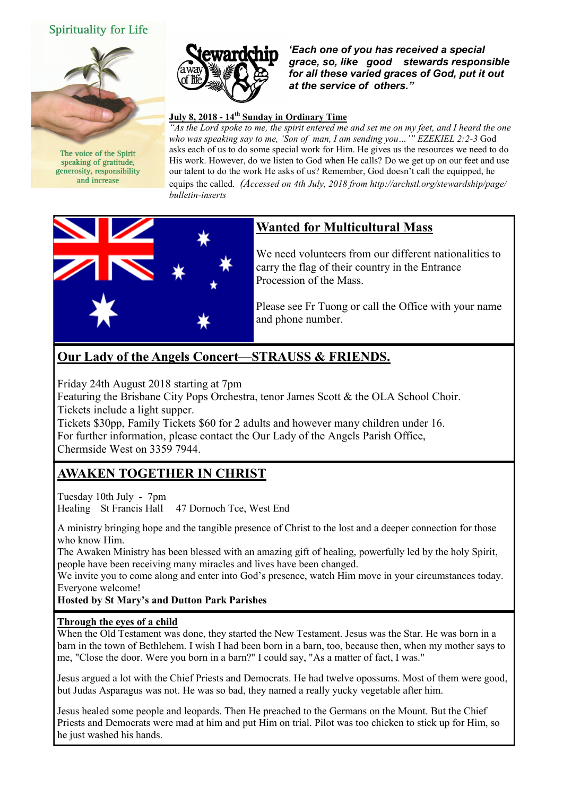#### **Spirituality for Life**



The voice of the Spirit speaking of gratitude. generosity, responsibility and increase



*'Each one of you has received a special grace, so, like good stewards responsible for all these varied graces of God, put it out at the service of others."* 

#### **July 8, 2018 - 14th Sunday in Ordinary Time**

*"As the Lord spoke to me, the spirit entered me and set me on my feet, and I heard the one who was speaking say to me, 'Son of man, I am sending you…'" EZEKIEL 2:2-3* God asks each of us to do some special work for Him. He gives us the resources we need to do His work. However, do we listen to God when He calls? Do we get up on our feet and use our talent to do the work He asks of us? Remember, God doesn't call the equipped, he equips the called. *(Accessed on 4th July, 2018 from http://archstl.org/stewardship/page/ bulletin-inserts*



### **Wanted for Multicultural Mass**

We need volunteers from our different nationalities to carry the flag of their country in the Entrance Procession of the Mass.

Please see Fr Tuong or call the Office with your name and phone number.

### **Our Lady of the Angels Concert—STRAUSS & FRIENDS.**

Friday 24th August 2018 starting at 7pm

Featuring the Brisbane City Pops Orchestra, tenor James Scott & the OLA School Choir. Tickets include a light supper.

Tickets \$30pp, Family Tickets \$60 for 2 adults and however many children under 16. For further information, please contact the Our Lady of the Angels Parish Office, Chermside West on 3359 7944.

### **AWAKEN TOGETHER IN CHRIST**

Tuesday 10th July - 7pm Healing St Francis Hall 47 Dornoch Tce, West End

A ministry bringing hope and the tangible presence of Christ to the lost and a deeper connection for those who know Him.

The Awaken Ministry has been blessed with an amazing gift of healing, powerfully led by the holy Spirit, people have been receiving many miracles and lives have been changed.

We invite you to come along and enter into God's presence, watch Him move in your circumstances today. Everyone welcome!

#### **Hosted by St Mary's and Dutton Park Parishes**

#### **Through the eyes of a child**

When the Old Testament was done, they started the New Testament. Jesus was the Star. He was born in a barn in the town of Bethlehem. I wish I had been born in a barn, too, because then, when my mother says to me, "Close the door. Were you born in a barn?" I could say, "As a matter of fact, I was."

Jesus argued a lot with the Chief Priests and Democrats. He had twelve opossums. Most of them were good, but Judas Asparagus was not. He was so bad, they named a really yucky vegetable after him.

Jesus healed some people and leopards. Then He preached to the Germans on the Mount. But the Chief Priests and Democrats were mad at him and put Him on trial. Pilot was too chicken to stick up for Him, so he just washed his hands.